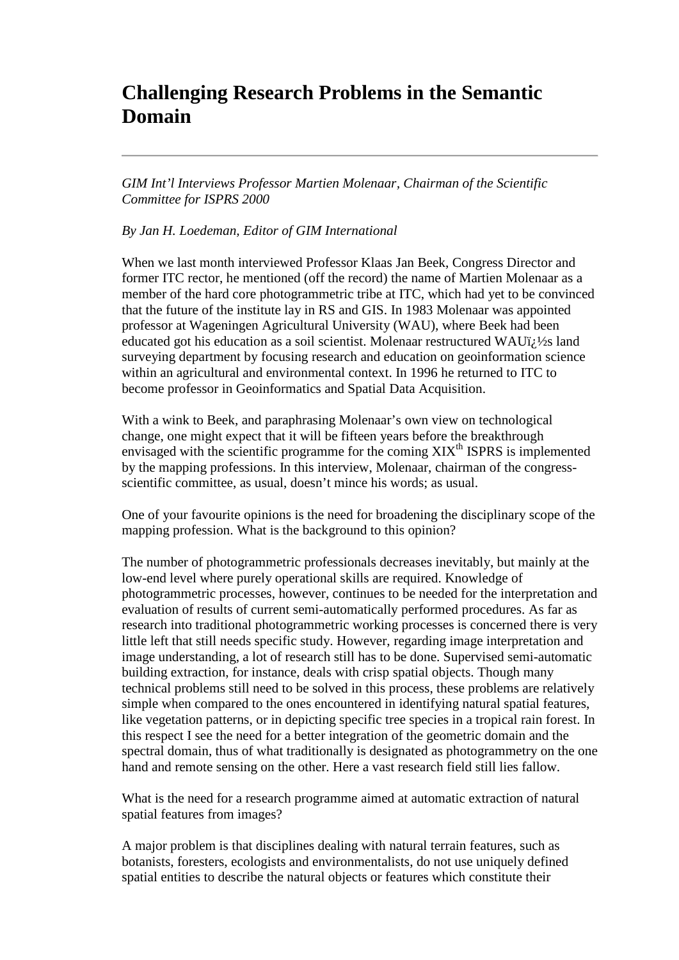## **Challenging Research Problems in the Semantic Domain**

*GIM Int'l Interviews Professor Martien Molenaar, Chairman of the Scientific Committee for ISPRS 2000*

*By Jan H. Loedeman, Editor of GIM International*

When we last month interviewed Professor Klaas Jan Beek, Congress Director and former ITC rector, he mentioned (off the record) the name of Martien Molenaar as a member of the hard core photogrammetric tribe at ITC, which had yet to be convinced that the future of the institute lay in RS and GIS. In 1983 Molenaar was appointed professor at Wageningen Agricultural University (WAU), where Beek had been educated got his education as a soil scientist. Molenaar restructured WAU $\ddot{i}$ ;  $\frac{1}{2}$ s land surveying department by focusing research and education on geoinformation science within an agricultural and environmental context. In 1996 he returned to ITC to become professor in Geoinformatics and Spatial Data Acquisition.

With a wink to Beek, and paraphrasing Molenaar's own view on technological change, one might expect that it will be fifteen years before the breakthrough envisaged with the scientific programme for the coming  $XIX<sup>th</sup>$  ISPRS is implemented by the mapping professions. In this interview, Molenaar, chairman of the congressscientific committee, as usual, doesn't mince his words; as usual.

One of your favourite opinions is the need for broadening the disciplinary scope of the mapping profession. What is the background to this opinion?

The number of photogrammetric professionals decreases inevitably, but mainly at the low-end level where purely operational skills are required. Knowledge of photogrammetric processes, however, continues to be needed for the interpretation and evaluation of results of current semi-automatically performed procedures. As far as research into traditional photogrammetric working processes is concerned there is very little left that still needs specific study. However, regarding image interpretation and image understanding, a lot of research still has to be done. Supervised semi-automatic building extraction, for instance, deals with crisp spatial objects. Though many technical problems still need to be solved in this process, these problems are relatively simple when compared to the ones encountered in identifying natural spatial features, like vegetation patterns, or in depicting specific tree species in a tropical rain forest. In this respect I see the need for a better integration of the geometric domain and the spectral domain, thus of what traditionally is designated as photogrammetry on the one hand and remote sensing on the other. Here a vast research field still lies fallow.

What is the need for a research programme aimed at automatic extraction of natural spatial features from images?

A major problem is that disciplines dealing with natural terrain features, such as botanists, foresters, ecologists and environmentalists, do not use uniquely defined spatial entities to describe the natural objects or features which constitute their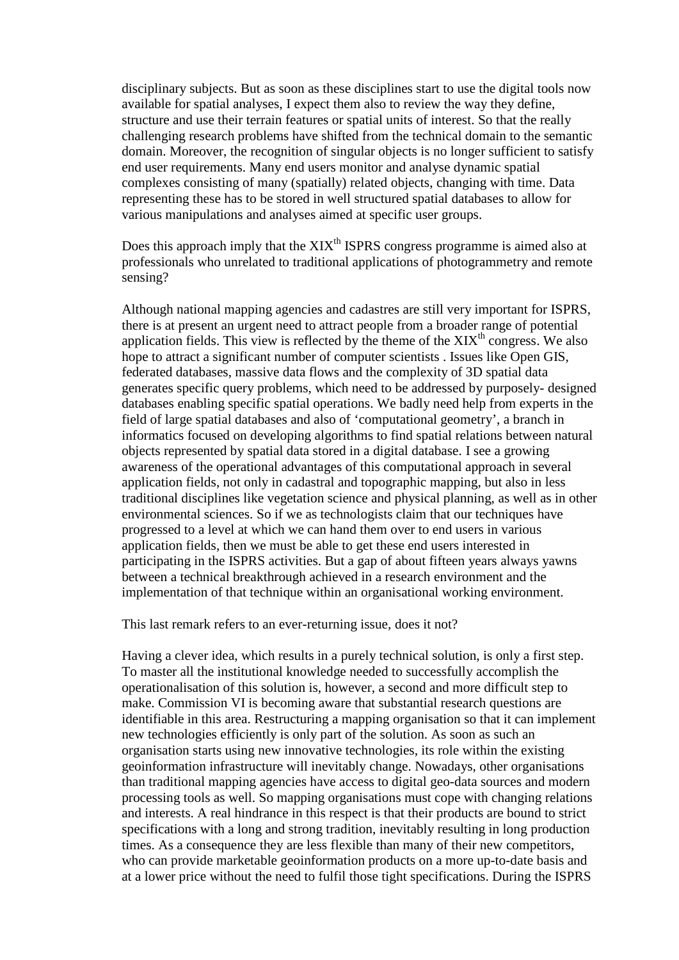disciplinary subjects. But as soon as these disciplines start to use the digital tools now available for spatial analyses, I expect them also to review the way they define, structure and use their terrain features or spatial units of interest. So that the really challenging research problems have shifted from the technical domain to the semantic domain. Moreover, the recognition of singular objects is no longer sufficient to satisfy end user requirements. Many end users monitor and analyse dynamic spatial complexes consisting of many (spatially) related objects, changing with time. Data representing these has to be stored in well structured spatial databases to allow for various manipulations and analyses aimed at specific user groups.

Does this approach imply that the  $XIX<sup>th</sup>$  ISPRS congress programme is aimed also at professionals who unrelated to traditional applications of photogrammetry and remote sensing?

Although national mapping agencies and cadastres are still very important for ISPRS, there is at present an urgent need to attract people from a broader range of potential application fields. This view is reflected by the theme of the  $XIX<sup>th</sup>$  congress. We also hope to attract a significant number of computer scientists . Issues like Open GIS, federated databases, massive data flows and the complexity of 3D spatial data generates specific query problems, which need to be addressed by purposely- designed databases enabling specific spatial operations. We badly need help from experts in the field of large spatial databases and also of 'computational geometry', a branch in informatics focused on developing algorithms to find spatial relations between natural objects represented by spatial data stored in a digital database. I see a growing awareness of the operational advantages of this computational approach in several application fields, not only in cadastral and topographic mapping, but also in less traditional disciplines like vegetation science and physical planning, as well as in other environmental sciences. So if we as technologists claim that our techniques have progressed to a level at which we can hand them over to end users in various application fields, then we must be able to get these end users interested in participating in the ISPRS activities. But a gap of about fifteen years always yawns between a technical breakthrough achieved in a research environment and the implementation of that technique within an organisational working environment.

This last remark refers to an ever-returning issue, does it not?

Having a clever idea, which results in a purely technical solution, is only a first step. To master all the institutional knowledge needed to successfully accomplish the operationalisation of this solution is, however, a second and more difficult step to make. Commission VI is becoming aware that substantial research questions are identifiable in this area. Restructuring a mapping organisation so that it can implement new technologies efficiently is only part of the solution. As soon as such an organisation starts using new innovative technologies, its role within the existing geoinformation infrastructure will inevitably change. Nowadays, other organisations than traditional mapping agencies have access to digital geo-data sources and modern processing tools as well. So mapping organisations must cope with changing relations and interests. A real hindrance in this respect is that their products are bound to strict specifications with a long and strong tradition, inevitably resulting in long production times. As a consequence they are less flexible than many of their new competitors, who can provide marketable geoinformation products on a more up-to-date basis and at a lower price without the need to fulfil those tight specifications. During the ISPRS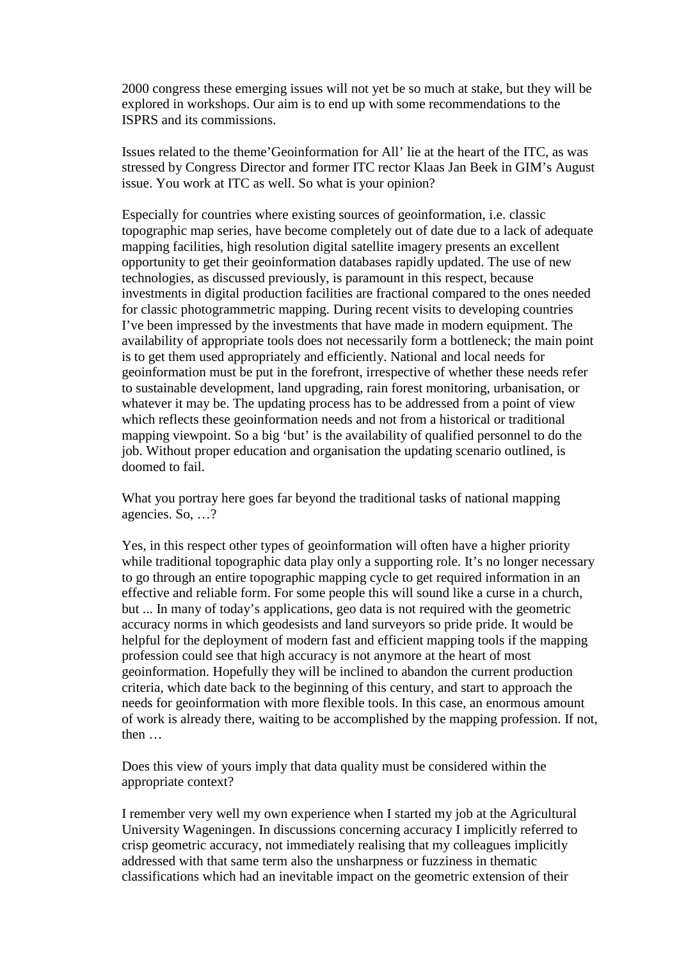2000 congress these emerging issues will not yet be so much at stake, but they will be explored in workshops. Our aim is to end up with some recommendations to the ISPRS and its commissions.

Issues related to the theme'Geoinformation for All' lie at the heart of the ITC, as was stressed by Congress Director and former ITC rector Klaas Jan Beek in GIM's August issue. You work at ITC as well. So what is your opinion?

Especially for countries where existing sources of geoinformation, i.e. classic topographic map series, have become completely out of date due to a lack of adequate mapping facilities, high resolution digital satellite imagery presents an excellent opportunity to get their geoinformation databases rapidly updated. The use of new technologies, as discussed previously, is paramount in this respect, because investments in digital production facilities are fractional compared to the ones needed for classic photogrammetric mapping. During recent visits to developing countries I've been impressed by the investments that have made in modern equipment. The availability of appropriate tools does not necessarily form a bottleneck; the main point is to get them used appropriately and efficiently. National and local needs for geoinformation must be put in the forefront, irrespective of whether these needs refer to sustainable development, land upgrading, rain forest monitoring, urbanisation, or whatever it may be. The updating process has to be addressed from a point of view which reflects these geoinformation needs and not from a historical or traditional mapping viewpoint. So a big 'but' is the availability of qualified personnel to do the job. Without proper education and organisation the updating scenario outlined, is doomed to fail.

What you portray here goes far beyond the traditional tasks of national mapping agencies. So, …?

Yes, in this respect other types of geoinformation will often have a higher priority while traditional topographic data play only a supporting role. It's no longer necessary to go through an entire topographic mapping cycle to get required information in an effective and reliable form. For some people this will sound like a curse in a church, but ... In many of today's applications, geo data is not required with the geometric accuracy norms in which geodesists and land surveyors so pride pride. It would be helpful for the deployment of modern fast and efficient mapping tools if the mapping profession could see that high accuracy is not anymore at the heart of most geoinformation. Hopefully they will be inclined to abandon the current production criteria, which date back to the beginning of this century, and start to approach the needs for geoinformation with more flexible tools. In this case, an enormous amount of work is already there, waiting to be accomplished by the mapping profession. If not, then …

Does this view of yours imply that data quality must be considered within the appropriate context?

I remember very well my own experience when I started my job at the Agricultural University Wageningen. In discussions concerning accuracy I implicitly referred to crisp geometric accuracy, not immediately realising that my colleagues implicitly addressed with that same term also the unsharpness or fuzziness in thematic classifications which had an inevitable impact on the geometric extension of their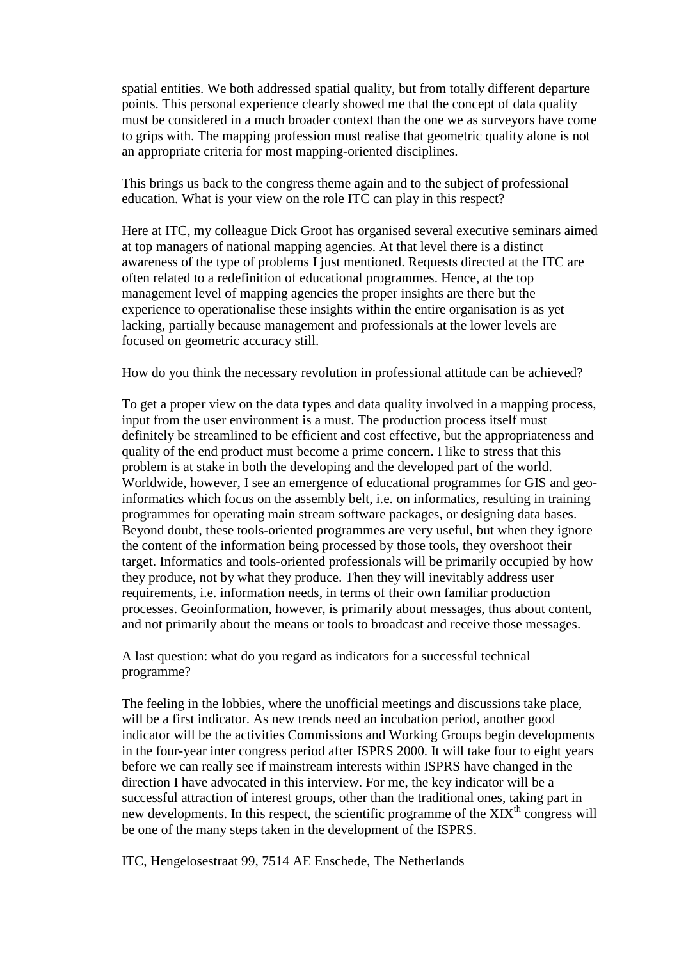spatial entities. We both addressed spatial quality, but from totally different departure points. This personal experience clearly showed me that the concept of data quality must be considered in a much broader context than the one we as surveyors have come to grips with. The mapping profession must realise that geometric quality alone is not an appropriate criteria for most mapping-oriented disciplines.

This brings us back to the congress theme again and to the subject of professional education. What is your view on the role ITC can play in this respect?

Here at ITC, my colleague Dick Groot has organised several executive seminars aimed at top managers of national mapping agencies. At that level there is a distinct awareness of the type of problems I just mentioned. Requests directed at the ITC are often related to a redefinition of educational programmes. Hence, at the top management level of mapping agencies the proper insights are there but the experience to operationalise these insights within the entire organisation is as yet lacking, partially because management and professionals at the lower levels are focused on geometric accuracy still.

How do you think the necessary revolution in professional attitude can be achieved?

To get a proper view on the data types and data quality involved in a mapping process, input from the user environment is a must. The production process itself must definitely be streamlined to be efficient and cost effective, but the appropriateness and quality of the end product must become a prime concern. I like to stress that this problem is at stake in both the developing and the developed part of the world. Worldwide, however, I see an emergence of educational programmes for GIS and geoinformatics which focus on the assembly belt, i.e. on informatics, resulting in training programmes for operating main stream software packages, or designing data bases. Beyond doubt, these tools-oriented programmes are very useful, but when they ignore the content of the information being processed by those tools, they overshoot their target. Informatics and tools-oriented professionals will be primarily occupied by how they produce, not by what they produce. Then they will inevitably address user requirements, i.e. information needs, in terms of their own familiar production processes. Geoinformation, however, is primarily about messages, thus about content, and not primarily about the means or tools to broadcast and receive those messages.

A last question: what do you regard as indicators for a successful technical programme?

The feeling in the lobbies, where the unofficial meetings and discussions take place, will be a first indicator. As new trends need an incubation period, another good indicator will be the activities Commissions and Working Groups begin developments in the four-year inter congress period after ISPRS 2000. It will take four to eight years before we can really see if mainstream interests within ISPRS have changed in the direction I have advocated in this interview. For me, the key indicator will be a successful attraction of interest groups, other than the traditional ones, taking part in new developments. In this respect, the scientific programme of the  $XIX<sup>th</sup>$  congress will be one of the many steps taken in the development of the ISPRS.

ITC, Hengelosestraat 99, 7514 AE Enschede, The Netherlands